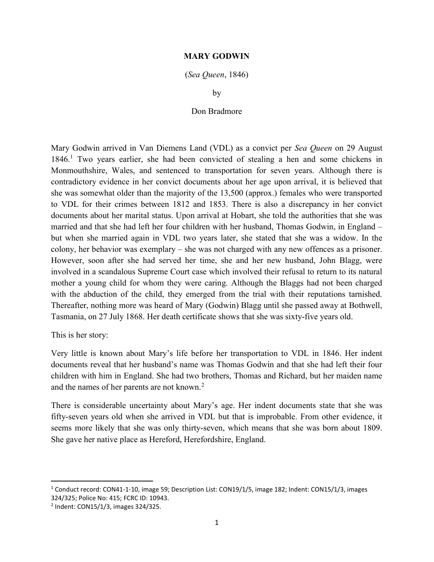## MARY GODWIN

## (Sea Queen, 1846)

by

## Don Bradmore

Mary Godwin arrived in Van Diemens Land (VDL) as a convict per Sea Queen on 29 August 1846.<sup>1</sup> Two years earlier, she had been convicted of stealing a hen and some chickens in Monmouthshire, Wales, and sentenced to transportation for seven years. Although there is contradictory evidence in her convict documents about her age upon arrival, it is believed that she was somewhat older than the majority of the 13,500 (approx.) females who were transported to VDL for their crimes between 1812 and 1853. There is also a discrepancy in her convict documents about her marital status. Upon arrival at Hobart, she told the authorities that she was married and that she had left her four children with her husband, Thomas Godwin, in England – but when she married again in VDL two years later, she stated that she was a widow. In the colony, her behavior was exemplary – she was not charged with any new offences as a prisoner. However, soon after she had served her time, she and her new husband, John Blagg, were involved in a scandalous Supreme Court case which involved their refusal to return to its natural mother a young child for whom they were caring. Although the Blaggs had not been charged with the abduction of the child, they emerged from the trial with their reputations tarnished. Thereafter, nothing more was heard of Mary (Godwin) Blagg until she passed away at Bothwell, Tasmania, on 27 July 1868. Her death certificate shows that she was sixty-five years old.

This is her story:

Very little is known about Mary's life before her transportation to VDL in 1846. Her indent documents reveal that her husband's name was Thomas Godwin and that she had left their four children with him in England. She had two brothers, Thomas and Richard, but her maiden name and the names of her parents are not known.<sup>2</sup>

There is considerable uncertainty about Mary's age. Her indent documents state that she was fifty-seven years old when she arrived in VDL but that is improbable. From other evidence, it seems more likely that she was only thirty-seven, which means that she was born about 1809. She gave her native place as Hereford, Herefordshire, England.

<sup>&</sup>lt;sup>1</sup> Conduct record: CON41-1-10, image 59; Description List: CON19/1/5, image 182; Indent: CON15/1/3, images 324/325; Police No: 415; FCRC ID: 10943.

<sup>&</sup>lt;sup>2</sup> Indent: CON15/1/3, images 324/325.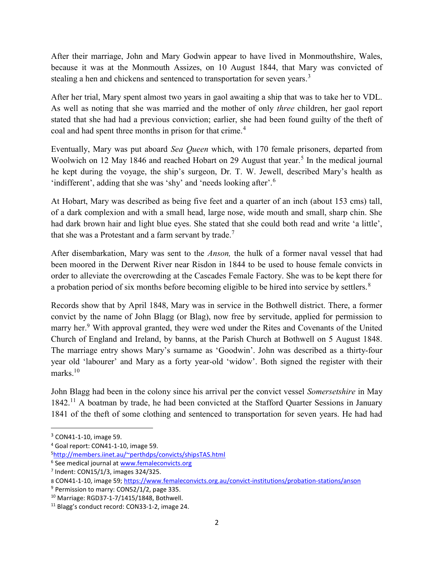After their marriage, John and Mary Godwin appear to have lived in Monmouthshire, Wales, because it was at the Monmouth Assizes, on 10 August 1844, that Mary was convicted of stealing a hen and chickens and sentenced to transportation for seven years.<sup>3</sup>

After her trial, Mary spent almost two years in gaol awaiting a ship that was to take her to VDL. As well as noting that she was married and the mother of only three children, her gaol report stated that she had had a previous conviction; earlier, she had been found guilty of the theft of coal and had spent three months in prison for that crime.<sup>4</sup>

Eventually, Mary was put aboard Sea Queen which, with 170 female prisoners, departed from Woolwich on 12 May 1846 and reached Hobart on 29 August that year.<sup>5</sup> In the medical journal he kept during the voyage, the ship's surgeon, Dr. T. W. Jewell, described Mary's health as 'indifferent', adding that she was 'shy' and 'needs looking after'.<sup>6</sup>

At Hobart, Mary was described as being five feet and a quarter of an inch (about 153 cms) tall, of a dark complexion and with a small head, large nose, wide mouth and small, sharp chin. She had dark brown hair and light blue eyes. She stated that she could both read and write 'a little', that she was a Protestant and a farm servant by trade.<sup>7</sup>

After disembarkation, Mary was sent to the Anson, the hulk of a former naval vessel that had been moored in the Derwent River near Risdon in 1844 to be used to house female convicts in order to alleviate the overcrowding at the Cascades Female Factory. She was to be kept there for a probation period of six months before becoming eligible to be hired into service by settlers.<sup>8</sup>

Records show that by April 1848, Mary was in service in the Bothwell district. There, a former convict by the name of John Blagg (or Blag), now free by servitude, applied for permission to marry her.<sup>9</sup> With approval granted, they were wed under the Rites and Covenants of the United Church of England and Ireland, by banns, at the Parish Church at Bothwell on 5 August 1848. The marriage entry shows Mary's surname as 'Goodwin'. John was described as a thirty-four year old 'labourer' and Mary as a forty year-old 'widow'. Both signed the register with their marks. $10$ 

John Blagg had been in the colony since his arrival per the convict vessel Somersetshire in May 1842.<sup>11</sup> A boatman by trade, he had been convicted at the Stafford Quarter Sessions in January 1841 of the theft of some clothing and sentenced to transportation for seven years. He had had

<sup>3</sup> CON41-1-10, image 59.

<sup>4</sup> Goal report: CON41-1-10, image 59.

<sup>5</sup>http://members.iinet.au/~perthdps/convicts/shipsTAS.html

<sup>&</sup>lt;sup>6</sup> See medical journal at **www.femaleconvicts.org** 

<sup>7</sup> Indent: CON15/1/3, images 324/325.

<sup>8</sup> CON41-1-10, image 59; https://www.femaleconvicts.org.au/convict-institutions/probation-stations/anson

 $9$  Permission to marry: CON52/1/2, page 335.

<sup>10</sup> Marriage: RGD37-1-7/1415/1848, Bothwell.

<sup>11</sup> Blagg's conduct record: CON33-1-2, image 24.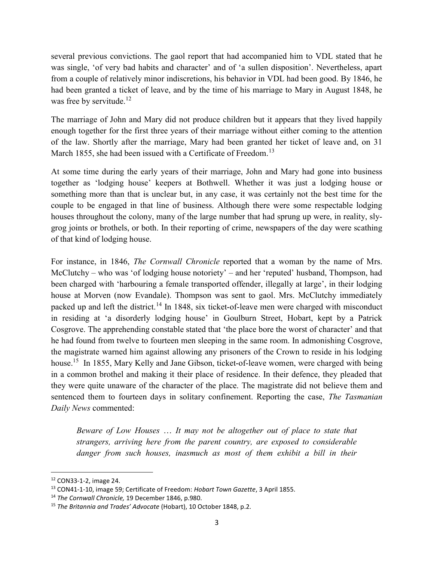several previous convictions. The gaol report that had accompanied him to VDL stated that he was single, 'of very bad habits and character' and of 'a sullen disposition'. Nevertheless, apart from a couple of relatively minor indiscretions, his behavior in VDL had been good. By 1846, he had been granted a ticket of leave, and by the time of his marriage to Mary in August 1848, he was free by servitude.<sup>12</sup>

The marriage of John and Mary did not produce children but it appears that they lived happily enough together for the first three years of their marriage without either coming to the attention of the law. Shortly after the marriage, Mary had been granted her ticket of leave and, on 31 March 1855, she had been issued with a Certificate of Freedom.<sup>13</sup>

At some time during the early years of their marriage, John and Mary had gone into business together as 'lodging house' keepers at Bothwell. Whether it was just a lodging house or something more than that is unclear but, in any case, it was certainly not the best time for the couple to be engaged in that line of business. Although there were some respectable lodging houses throughout the colony, many of the large number that had sprung up were, in reality, slygrog joints or brothels, or both. In their reporting of crime, newspapers of the day were scathing of that kind of lodging house.

For instance, in 1846, *The Cornwall Chronicle* reported that a woman by the name of Mrs. McClutchy – who was 'of lodging house notoriety' – and her 'reputed' husband, Thompson, had been charged with 'harbouring a female transported offender, illegally at large', in their lodging house at Morven (now Evandale). Thompson was sent to gaol. Mrs. McClutchy immediately packed up and left the district.<sup>14</sup> In 1848, six ticket-of-leave men were charged with misconduct in residing at 'a disorderly lodging house' in Goulburn Street, Hobart, kept by a Patrick Cosgrove. The apprehending constable stated that 'the place bore the worst of character' and that he had found from twelve to fourteen men sleeping in the same room. In admonishing Cosgrove, the magistrate warned him against allowing any prisoners of the Crown to reside in his lodging house.<sup>15</sup> In 1855, Mary Kelly and Jane Gibson, ticket-of-leave women, were charged with being in a common brothel and making it their place of residence. In their defence, they pleaded that they were quite unaware of the character of the place. The magistrate did not believe them and sentenced them to fourteen days in solitary confinement. Reporting the case, The Tasmanian Daily News commented:

Beware of Low Houses … It may not be altogether out of place to state that strangers, arriving here from the parent country, are exposed to considerable danger from such houses, inasmuch as most of them exhibit a bill in their

<sup>12</sup> CON33-1-2, image 24.

<sup>&</sup>lt;sup>13</sup> CON41-1-10, image 59; Certificate of Freedom: Hobart Town Gazette, 3 April 1855.

<sup>&</sup>lt;sup>14</sup> The Cornwall Chronicle, 19 December 1846, p.980.

<sup>&</sup>lt;sup>15</sup> The Britannia and Trades' Advocate (Hobart), 10 October 1848, p.2.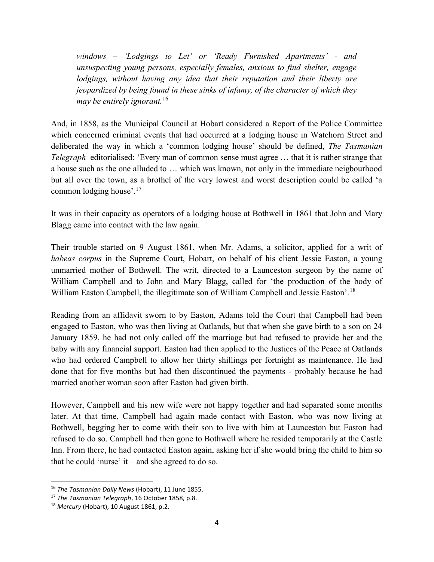windows – 'Lodgings to Let' or 'Ready Furnished Apartments' - and unsuspecting young persons, especially females, anxious to find shelter, engage lodgings, without having any idea that their reputation and their liberty are jeopardized by being found in these sinks of infamy, of the character of which they may be entirely ignorant.<sup>16</sup>

And, in 1858, as the Municipal Council at Hobart considered a Report of the Police Committee which concerned criminal events that had occurred at a lodging house in Watchorn Street and deliberated the way in which a 'common lodging house' should be defined, The Tasmanian Telegraph editorialised: 'Every man of common sense must agree … that it is rather strange that a house such as the one alluded to … which was known, not only in the immediate neigbourhood but all over the town, as a brothel of the very lowest and worst description could be called 'a common lodging house'.<sup>17</sup>

It was in their capacity as operators of a lodging house at Bothwell in 1861 that John and Mary Blagg came into contact with the law again.

Their trouble started on 9 August 1861, when Mr. Adams, a solicitor, applied for a writ of habeas corpus in the Supreme Court, Hobart, on behalf of his client Jessie Easton, a young unmarried mother of Bothwell. The writ, directed to a Launceston surgeon by the name of William Campbell and to John and Mary Blagg, called for 'the production of the body of William Easton Campbell, the illegitimate son of William Campbell and Jessie Easton'.<sup>18</sup>

Reading from an affidavit sworn to by Easton, Adams told the Court that Campbell had been engaged to Easton, who was then living at Oatlands, but that when she gave birth to a son on 24 January 1859, he had not only called off the marriage but had refused to provide her and the baby with any financial support. Easton had then applied to the Justices of the Peace at Oatlands who had ordered Campbell to allow her thirty shillings per fortnight as maintenance. He had done that for five months but had then discontinued the payments - probably because he had married another woman soon after Easton had given birth.

However, Campbell and his new wife were not happy together and had separated some months later. At that time, Campbell had again made contact with Easton, who was now living at Bothwell, begging her to come with their son to live with him at Launceston but Easton had refused to do so. Campbell had then gone to Bothwell where he resided temporarily at the Castle Inn. From there, he had contacted Easton again, asking her if she would bring the child to him so that he could 'nurse' it – and she agreed to do so.

<sup>&</sup>lt;sup>16</sup> The Tasmanian Daily News (Hobart), 11 June 1855.

<sup>&</sup>lt;sup>17</sup> The Tasmanian Telegraph, 16 October 1858, p.8.

 $18$  Mercury (Hobart), 10 August 1861, p.2.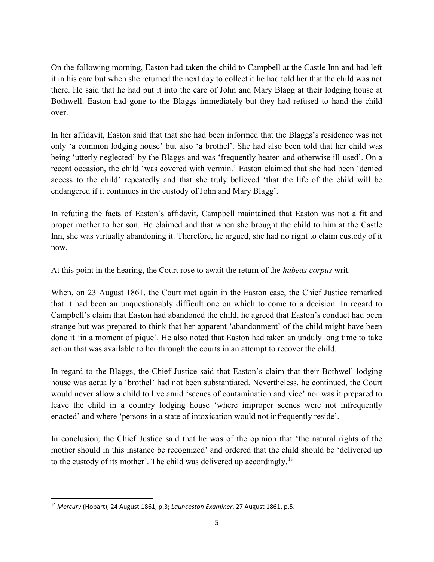On the following morning, Easton had taken the child to Campbell at the Castle Inn and had left it in his care but when she returned the next day to collect it he had told her that the child was not there. He said that he had put it into the care of John and Mary Blagg at their lodging house at Bothwell. Easton had gone to the Blaggs immediately but they had refused to hand the child over.

In her affidavit, Easton said that that she had been informed that the Blaggs's residence was not only 'a common lodging house' but also 'a brothel'. She had also been told that her child was being 'utterly neglected' by the Blaggs and was 'frequently beaten and otherwise ill-used'. On a recent occasion, the child 'was covered with vermin.' Easton claimed that she had been 'denied access to the child' repeatedly and that she truly believed 'that the life of the child will be endangered if it continues in the custody of John and Mary Blagg'.

In refuting the facts of Easton's affidavit, Campbell maintained that Easton was not a fit and proper mother to her son. He claimed and that when she brought the child to him at the Castle Inn, she was virtually abandoning it. Therefore, he argued, she had no right to claim custody of it now.

At this point in the hearing, the Court rose to await the return of the habeas corpus writ.

When, on 23 August 1861, the Court met again in the Easton case, the Chief Justice remarked that it had been an unquestionably difficult one on which to come to a decision. In regard to Campbell's claim that Easton had abandoned the child, he agreed that Easton's conduct had been strange but was prepared to think that her apparent 'abandonment' of the child might have been done it 'in a moment of pique'. He also noted that Easton had taken an unduly long time to take action that was available to her through the courts in an attempt to recover the child.

In regard to the Blaggs, the Chief Justice said that Easton's claim that their Bothwell lodging house was actually a 'brothel' had not been substantiated. Nevertheless, he continued, the Court would never allow a child to live amid 'scenes of contamination and vice' nor was it prepared to leave the child in a country lodging house 'where improper scenes were not infrequently enacted' and where 'persons in a state of intoxication would not infrequently reside'.

In conclusion, the Chief Justice said that he was of the opinion that 'the natural rights of the mother should in this instance be recognized' and ordered that the child should be 'delivered up to the custody of its mother'. The child was delivered up accordingly.<sup>19</sup>

 $19$  Mercury (Hobart), 24 August 1861, p.3; Launceston Examiner, 27 August 1861, p.5.